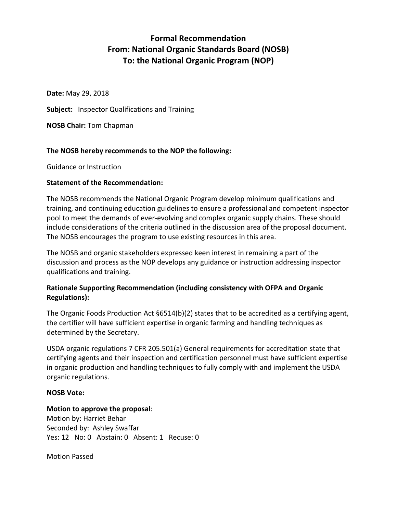# **Formal Recommendation From: National Organic Standards Board (NOSB) To: the National Organic Program (NOP)**

**Date:** May 29, 2018

**Subject:** Inspector Qualifications and Training

**NOSB Chair:** Tom Chapman

## **The NOSB hereby recommends to the NOP the following:**

Guidance or Instruction

## **Statement of the Recommendation:**

The NOSB recommends the National Organic Program develop minimum qualifications and training, and continuing education guidelines to ensure a professional and competent inspector pool to meet the demands of ever-evolving and complex organic supply chains. These should include considerations of the criteria outlined in the discussion area of the proposal document. The NOSB encourages the program to use existing resources in this area.

The NOSB and organic stakeholders expressed keen interest in remaining a part of the discussion and process as the NOP develops any guidance or instruction addressing inspector qualifications and training.

# **Rationale Supporting Recommendation (including consistency with OFPA and Organic Regulations):**

The Organic Foods Production Act §6514(b)(2) states that to be accredited as a certifying agent, the certifier will have sufficient expertise in organic farming and handling techniques as determined by the Secretary.

USDA organic regulations 7 CFR 205.501(a) General requirements for accreditation state that certifying agents and their inspection and certification personnel must have sufficient expertise in organic production and handling techniques to fully comply with and implement the USDA organic regulations.

## **NOSB Vote:**

## **Motion to approve the proposal**:

Motion by: Harriet Behar Seconded by: Ashley Swaffar Yes: 12 No: 0 Abstain: 0 Absent: 1 Recuse: 0

Motion Passed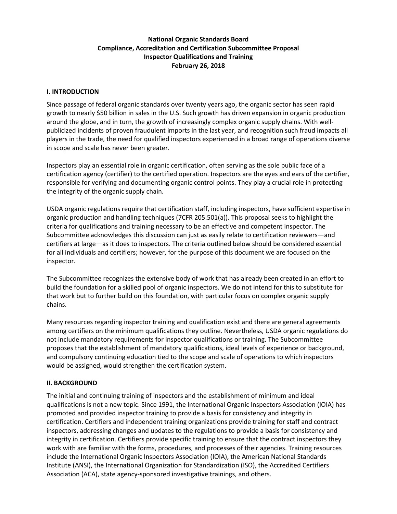# **National Organic Standards Board Compliance, Accreditation and Certification Subcommittee Proposal Inspector Qualifications and Training February 26, 2018**

## **I. INTRODUCTION**

Since passage of federal organic standards over twenty years ago, the organic sector has seen rapid growth to nearly \$50 billion in sales in the U.S. Such growth has driven expansion in organic production around the globe, and in turn, the growth of increasingly complex organic supply chains. With wellpublicized incidents of proven fraudulent imports in the last year, and recognition such fraud impacts all players in the trade, the need for qualified inspectors experienced in a broad range of operations diverse in scope and scale has never been greater.

Inspectors play an essential role in organic certification, often serving as the sole public face of a certification agency (certifier) to the certified operation. Inspectors are the eyes and ears of the certifier, responsible for verifying and documenting organic control points. They play a crucial role in protecting the integrity of the organic supply chain.

USDA organic regulations require that certification staff, including inspectors, have sufficient expertise in organic production and handling techniques (7CFR 205.501(a)). This proposal seeks to highlight the criteria for qualifications and training necessary to be an effective and competent inspector. The Subcommittee acknowledges this discussion can just as easily relate to certification reviewers—and certifiers at large—as it does to inspectors. The criteria outlined below should be considered essential for all individuals and certifiers; however, for the purpose of this document we are focused on the inspector.

The Subcommittee recognizes the extensive body of work that has already been created in an effort to build the foundation for a skilled pool of organic inspectors. We do not intend for this to substitute for that work but to further build on this foundation, with particular focus on complex organic supply chains.

Many resources regarding inspector training and qualification exist and there are general agreements among certifiers on the minimum qualifications they outline. Nevertheless, USDA organic regulations do not include mandatory requirements for inspector qualifications or training. The Subcommittee proposes that the establishment of mandatory qualifications, ideal levels of experience or background, and compulsory continuing education tied to the scope and scale of operations to which inspectors would be assigned, would strengthen the certification system.

## **II. BACKGROUND**

The initial and continuing training of inspectors and the establishment of minimum and ideal qualifications is not a new topic. Since 1991, the International Organic Inspectors Association (IOIA) has promoted and provided inspector training to provide a basis for consistency and integrity in certification. Certifiers and independent training organizations provide training for staff and contract inspectors, addressing changes and updates to the regulations to provide a basis for consistency and integrity in certification. Certifiers provide specific training to ensure that the contract inspectors they work with are familiar with the forms, procedures, and processes of their agencies. Training resources include the International Organic Inspectors Association (IOIA), the American National Standards Institute (ANSI), the International Organization for Standardization (ISO), the Accredited Certifiers Association (ACA), state agency-sponsored investigative trainings, and others.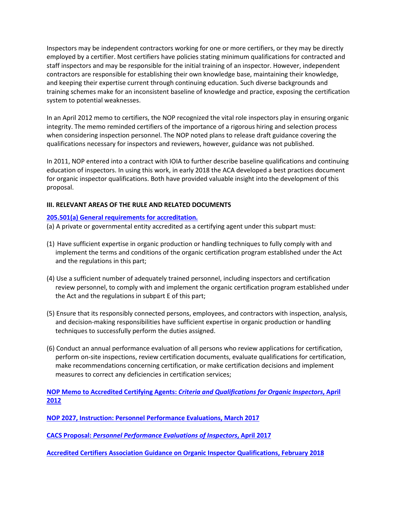Inspectors may be independent contractors working for one or more certifiers, or they may be directly employed by a certifier. Most certifiers have policies stating minimum qualifications for contracted and staff inspectors and may be responsible for the initial training of an inspector. However, independent contractors are responsible for establishing their own knowledge base, maintaining their knowledge, and keeping their expertise current through continuing education. Such diverse backgrounds and training schemes make for an inconsistent baseline of knowledge and practice, exposing the certification system to potential weaknesses.

In an April 2012 memo to certifiers, the NOP recognized the vital role inspectors play in ensuring organic integrity. The memo reminded certifiers of the importance of a rigorous hiring and selection process when considering inspection personnel. The NOP noted plans to release draft guidance covering the qualifications necessary for inspectors and reviewers, however, guidance was not published.

In 2011, NOP entered into a contract with IOIA to further describe baseline qualifications and continuing education of inspectors. In using this work, in early 2018 the ACA developed a best practices document for organic inspector qualifications. Both have provided valuable insight into the development of this proposal.

## **III. RELEVANT AREAS OF THE RULE AND RELATED DOCUMENTS**

## **205.501(a) [General requirements for accreditation.](https://www.ecfr.gov/cgi-bin/text-idx?SID=6c5f4629aa2f1108f91c76da2979b470&mc=true&node=pt7.3.205&rgn=div5#se7.3.205_1501)**

(a) A private or governmental entity accredited as a certifying agent under this subpart must:

- (1) Have sufficient expertise in organic production or handling techniques to fully comply with and implement the terms and conditions of the organic certification program established under the Act and the regulations in this part;
- (4) Use a sufficient number of adequately trained personnel, including inspectors and certification review personnel, to comply with and implement the organic certification program established under the Act and the regulations in subpart E of this part;
- (5) Ensure that its responsibly connected persons, employees, and contractors with inspection, analysis, and decision-making responsibilities have sufficient expertise in organic production or handling techniques to successfully perform the duties assigned.
- (6) Conduct an annual performance evaluation of all persons who review applications for certification, perform on-site inspections, review certification documents, evaluate qualifications for certification, make recommendations concerning certification, or make certification decisions and implement measures to correct any deficiencies in certification services;

**NOP Memo to Accredited Certifying Agents:** *[Criteria and Qualifications for Organic Inspectors](https://www.ams.usda.gov/sites/default/files/media/NOP-Notice-OrganicInspectorCriteria.pdf)***, April [2012](https://www.ams.usda.gov/sites/default/files/media/NOP-Notice-OrganicInspectorCriteria.pdf)**

**[NOP 2027, Instruction: Personnel Performance Evaluations, March 2017](https://www.ams.usda.gov/sites/default/files/media/2027.pdf)**

**CACS Proposal:** *[Personnel Performance Evaluations of Inspectors](https://www.ams.usda.gov/sites/default/files/media/CACSInspectorsProposal.pdf)***, April 2017**

**[Accredited Certifiers Association Guidance on Organic Inspector Qualifications, February 2018](https://www.accreditedcertifiers.org/wp-content/uploads/2018/02/ACA-Guidance-on-Inspector-Qualifications-with-IOIA-Evaluation-Checklist.pdf)**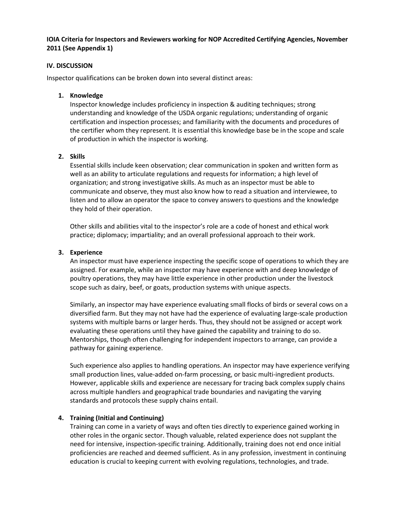## **IOIA Criteria for Inspectors and Reviewers working for NOP Accredited Certifying Agencies, November 2011 (See Appendix 1)**

## **IV. DISCUSSION**

Inspector qualifications can be broken down into several distinct areas:

## **1. Knowledge**

Inspector knowledge includes proficiency in inspection & auditing techniques; strong understanding and knowledge of the USDA organic regulations; understanding of organic certification and inspection processes; and familiarity with the documents and procedures of the certifier whom they represent. It is essential this knowledge base be in the scope and scale of production in which the inspector is working.

## **2. Skills**

Essential skills include keen observation; clear communication in spoken and written form as well as an ability to articulate regulations and requests for information; a high level of organization; and strong investigative skills. As much as an inspector must be able to communicate and observe, they must also know how to read a situation and interviewee, to listen and to allow an operator the space to convey answers to questions and the knowledge they hold of their operation.

Other skills and abilities vital to the inspector's role are a code of honest and ethical work practice; diplomacy; impartiality; and an overall professional approach to their work.

## **3. Experience**

An inspector must have experience inspecting the specific scope of operations to which they are assigned. For example, while an inspector may have experience with and deep knowledge of poultry operations, they may have little experience in other production under the livestock scope such as dairy, beef, or goats, production systems with unique aspects.

Similarly, an inspector may have experience evaluating small flocks of birds or several cows on a diversified farm. But they may not have had the experience of evaluating large-scale production systems with multiple barns or larger herds. Thus, they should not be assigned or accept work evaluating these operations until they have gained the capability and training to do so. Mentorships, though often challenging for independent inspectors to arrange, can provide a pathway for gaining experience.

Such experience also applies to handling operations. An inspector may have experience verifying small production lines, value-added on-farm processing, or basic multi-ingredient products. However, applicable skills and experience are necessary for tracing back complex supply chains across multiple handlers and geographical trade boundaries and navigating the varying standards and protocols these supply chains entail.

## **4. Training (Initial and Continuing)**

Training can come in a variety of ways and often ties directly to experience gained working in other roles in the organic sector. Though valuable, related experience does not supplant the need for intensive, inspection-specific training. Additionally, training does not end once initial proficiencies are reached and deemed sufficient. As in any profession, investment in continuing education is crucial to keeping current with evolving regulations, technologies, and trade.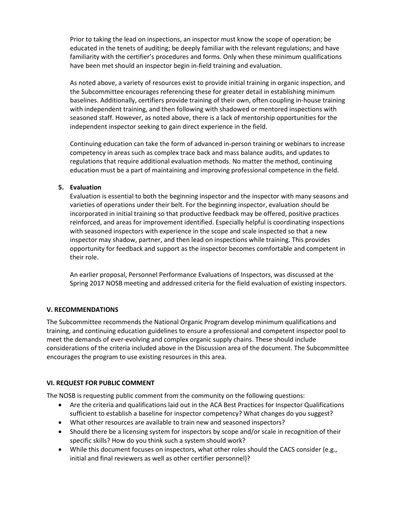Prior to taking the lead on inspections, an inspector must know the scope of operation; be educated in the tenets of auditing; be deeply familiar with the relevant regulations; and have familiarity with the certifier's procedures and forms. Only when these minimum qualifications have been met should an inspector begin in-field training and evaluation.

As noted above, a variety of resources exist to provide initial training in organic inspection, and the Subcommittee encourages referencing these for greater detail in establishing minimum baselines. Additionally, certifiers provide training of their own, often coupling in-house training with independent training, and then following with shadowed or mentored inspections with seasoned staff. However, as noted above, there is a lack of mentorship opportunities for the independent inspector seeking to gain direct experience in the field.

Continuing education can take the form of advanced in-person training or webinars to increase competency in areas such as complex trace back and mass balance audits, and updates to regulations that require additional evaluation methods. No matter the method, continuing education must be a part of maintaining and improving professional competence in the field.

## **5. Evaluation**

Evaluation is essential to both the beginning inspector and the inspector with many seasons and varieties of operations under their belt. For the beginning inspector, evaluation should be incorporated in initial training so that productive feedback may be offered, positive practices reinforced, and areas for improvement identified. Especially helpful is coordinating inspections with seasoned inspectors with experience in the scope and scale inspected so that a new inspector may shadow, partner, and then lead on inspections while training. This provides opportunity for feedback and support as the inspector becomes comfortable and competent in their role.

An earlier proposal, Personnel Performance Evaluations of Inspectors, was discussed at the Spring 2017 NOSB meeting and addressed criteria for the field evaluation of existing inspectors.

## **V. RECOMMENDATIONS**

The Subcommittee recommends the National Organic Program develop minimum qualifications and training, and continuing education guidelines to ensure a professional and competent inspector pool to meet the demands of ever-evolving and complex organic supply chains. These should include considerations of the criteria included above in the Discussion area of the document. The Subcommittee encourages the program to use existing resources in this area.

## **VI. REQUEST FOR PUBLIC COMMENT**

The NOSB is requesting public comment from the community on the following questions:

- Are the criteria and qualifications laid out in the ACA Best Practices for Inspector Qualifications sufficient to establish a baseline for inspector competency? What changes do you suggest?
- What other resources are available to train new and seasoned inspectors?
- Should there be a licensing system for inspectors by scope and/or scale in recognition of their specific skills? How do you think such a system should work?
- While this document focuses on inspectors, what other roles should the CACS consider (e.g., initial and final reviewers as well as other certifier personnel)?